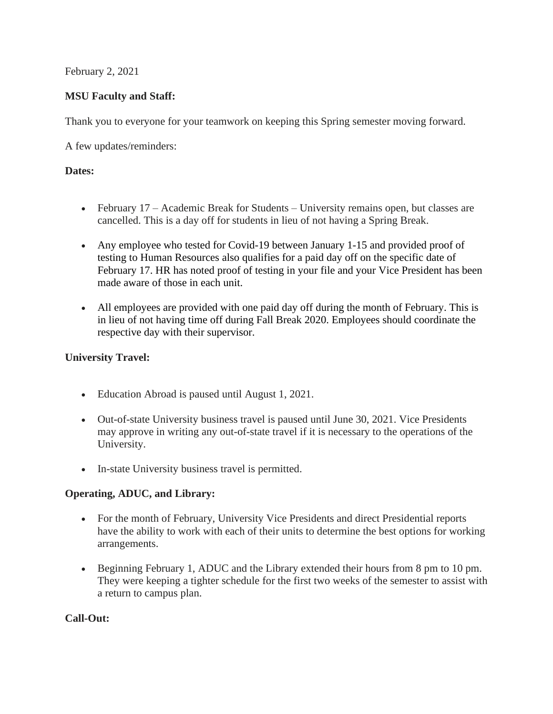February 2, 2021

## **MSU Faculty and Staff:**

Thank you to everyone for your teamwork on keeping this Spring semester moving forward.

A few updates/reminders:

## **Dates:**

- February 17 Academic Break for Students University remains open, but classes are cancelled. This is a day off for students in lieu of not having a Spring Break.
- Any employee who tested for Covid-19 between January 1-15 and provided proof of testing to Human Resources also qualifies for a paid day off on the specific date of February 17. HR has noted proof of testing in your file and your Vice President has been made aware of those in each unit.
- All employees are provided with one paid day off during the month of February. This is in lieu of not having time off during Fall Break 2020. Employees should coordinate the respective day with their supervisor.

### **University Travel:**

- Education Abroad is paused until August 1, 2021.
- Out-of-state University business travel is paused until June 30, 2021. Vice Presidents may approve in writing any out-of-state travel if it is necessary to the operations of the University.
- In-state University business travel is permitted.

# **Operating, ADUC, and Library:**

- For the month of February, University Vice Presidents and direct Presidential reports have the ability to work with each of their units to determine the best options for working arrangements.
- Beginning February 1, ADUC and the Library extended their hours from 8 pm to 10 pm. They were keeping a tighter schedule for the first two weeks of the semester to assist with a return to campus plan.

### **Call-Out:**